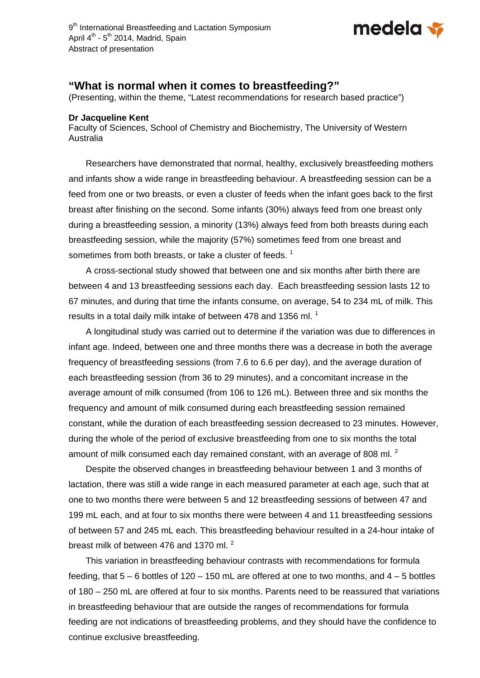

## **"What is normal when it comes to breastfeeding?"**

(Presenting, within the theme, "Latest recommendations for research based practice")

## **Dr Jacqueline Kent**

Faculty of Sciences, School of Chemistry and Biochemistry, The University of Western Australia

Researchers have demonstrated that normal, healthy, exclusively breastfeeding mothers and infants show a wide range in breastfeeding behaviour. A breastfeeding session can be a feed from one or two breasts, or even a cluster of feeds when the infant goes back to the first breast after finishing on the second. Some infants (30%) always feed from one breast only during a breastfeeding session, a minority (13%) always feed from both breasts during each breastfeeding session, while the majority (57%) sometimes feed from one breast and sometimes from both breasts, or take a cluster of feeds.  $1$ 

A cross-sectional study showed that between one and six months after birth there are between 4 and 13 breastfeeding sessions each day. Each breastfeeding session lasts 12 to 67 minutes, and during that time the infants consume, on average, 54 to 234 mL of milk. This results in a total daily milk intake of between 478 and 1356 ml.  $1$ 

A longitudinal study was carried out to determine if the variation was due to differences in infant age. Indeed, between one and three months there was a decrease in both the average frequency of breastfeeding sessions (from 7.6 to 6.6 per day), and the average duration of each breastfeeding session (from 36 to 29 minutes), and a concomitant increase in the average amount of milk consumed (from 106 to 126 mL). Between three and six months the frequency and amount of milk consumed during each breastfeeding session remained constant, while the duration of each breastfeeding session decreased to 23 minutes. However, during the whole of the period of exclusive breastfeeding from one to six months the total amount of milk consumed each day remained constant, with an average of 808 ml.  $^2$ 

Despite the observed changes in breastfeeding behaviour between 1 and 3 months of lactation, there was still a wide range in each measured parameter at each age, such that at one to two months there were between 5 and 12 breastfeeding sessions of between 47 and 199 mL each, and at four to six months there were between 4 and 11 breastfeeding sessions of between 57 and 245 mL each. This breastfeeding behaviour resulted in a 24-hour intake of breast milk of between 476 and 1370 ml.<sup>2</sup>

This variation in breastfeeding behaviour contrasts with recommendations for formula feeding, that  $5 - 6$  bottles of  $120 - 150$  mL are offered at one to two months, and  $4 - 5$  bottles of 180 – 250 mL are offered at four to six months. Parents need to be reassured that variations in breastfeeding behaviour that are outside the ranges of recommendations for formula feeding are not indications of breastfeeding problems, and they should have the confidence to continue exclusive breastfeeding.